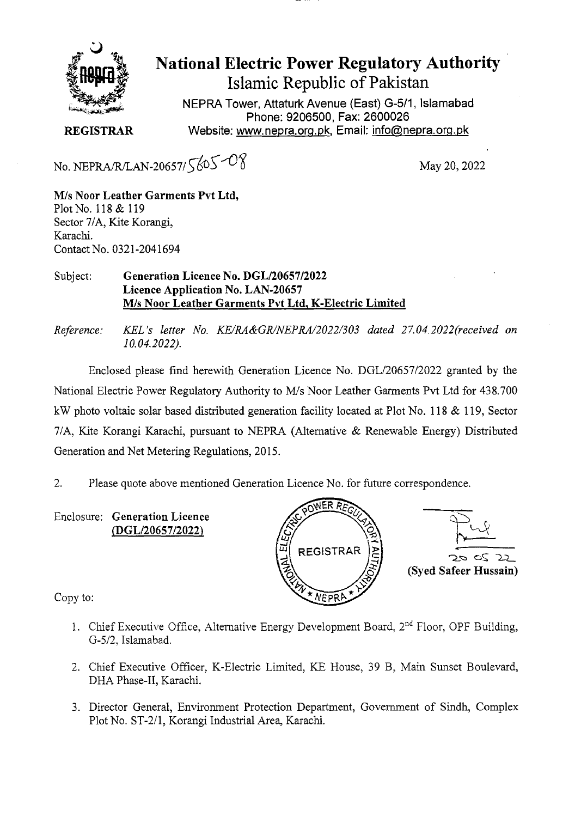

# National Electric Power Regulatory Authority Islamic Republic of Pakistan

**NEPRA Tower, Attaturk Avenue (East) G-511, Islamabad Phone: 9206500, Fax: 2600026 REGISTRAR Website: www.nepra.orq.Dk,Email: info(nera.orq.Dk** 

No. NEPRA/R/LAN-20657/ $565 - 08$ 

May 20, 2022

M/s **Noor Leather Garments Pvt Ltd,**  Plot No. 118 & 119 Sector 7/A, Kite Korangi, Karachi. Contact No. 0321-2041694

#### Subject: **Generation Licence No. DGL/20657/2022 Licence Application No. LAN.20657**  M/s **Noor Leather Garments Pvt Ltd.** K**-Electric Limited**

*Reference: KEL 's letter No. KE/RA&GR/NEPRA/2022/303 dated 27.04. 2022(received on 10.04.2022).* 

Enclosed please find herewith Generation Licence No. DGL/20657/2022 granted by the National Electric Power Regulatory Authority to M/s Noor Leather Garments Pvt Ltd for 438.700 kW photo voltaic solar based distributed generation facility located at Plot No. 118 & 119, Sector 7/A, Kite Korangi Karachi, pursuant to NEPRA (Alternative & Renewable Energy) Distributed Generation and Net Metering Regulations, 2015.

- 2. Please quote above mentioned Generation Licence No. for future correspondence.
- Enclosure: **Generation Licence**  *(DGL120657!2022)* J)





Copy to:

- 1. Chief Executive Office, Alternative Energy Development Board,  $2<sup>nd</sup>$  Floor, OPF Building, G-5/2, Islamabad.
- 2. Chief Executive Officer, K-Electric Limited, KE House, 39 B, Main Sunset Boulevard, DHA Phase-II, Karachi.
- 3. Director General, Environment Protection Department, Government of Sindh, Complex Plot No. ST-2/1, Korangi Industrial Area, Karachi.